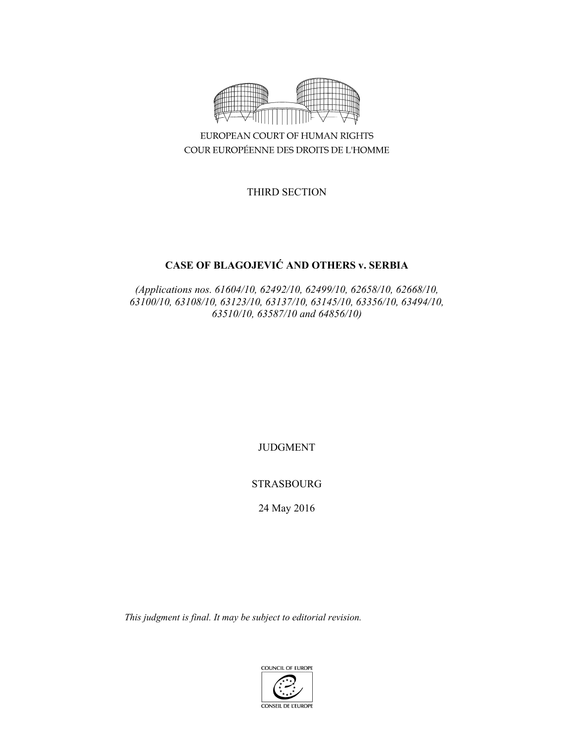

EUROPEAN COURT OF HUMAN RIGHTS COUR EUROPÉENNE DES DROITS DE L'HOMME

THIRD SECTION

# **CASE OF BLAGOJEVIĆ AND OTHERS v. SERBIA**

*(Applications nos. 61604/10, 62492/10, 62499/10, 62658/10, 62668/10, 63100/10, 63108/10, 63123/10, 63137/10, 63145/10, 63356/10, 63494/10, 63510/10, 63587/10 and 64856/10)* 

JUDGMENT

STRASBOURG

24 May 2016

*This judgment is final. It may be subject to editorial revision.* 

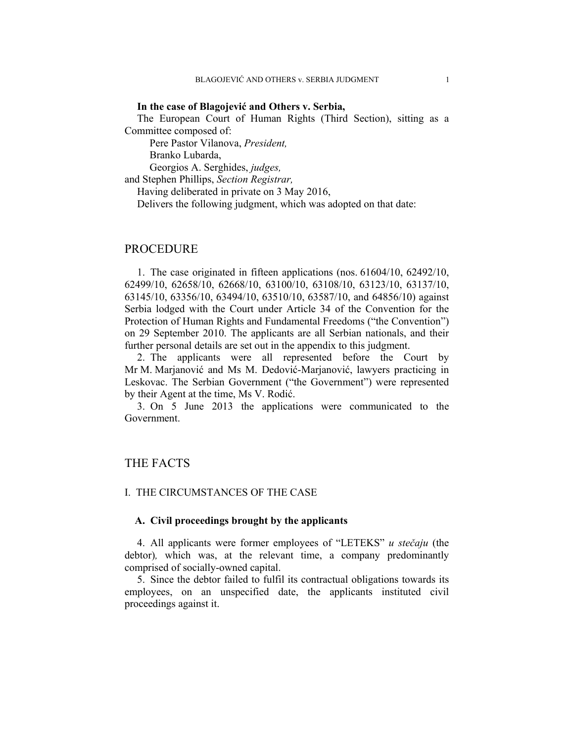#### **In the case of Blagojević and Others v. Serbia,**

The European Court of Human Rights (Third Section), sitting as a Committee composed of:

Pere Pastor Vilanova, *President,* 

Branko Lubarda,

Georgios A. Serghides, *judges,*

and Stephen Phillips, *Section Registrar,*

Having deliberated in private on 3 May 2016,

Delivers the following judgment, which was adopted on that date:

# PROCEDURE

1. The case originated in fifteen applications (nos. 61604/10, 62492/10, 62499/10, 62658/10, 62668/10, 63100/10, 63108/10, 63123/10, 63137/10, 63145/10, 63356/10, 63494/10, 63510/10, 63587/10, and 64856/10) against Serbia lodged with the Court under Article 34 of the Convention for the Protection of Human Rights and Fundamental Freedoms ("the Convention") on 29 September 2010. The applicants are all Serbian nationals, and their further personal details are set out in the appendix to this judgment.

2. The applicants were all represented before the Court by Mr M. Marjanović and Ms M. Dedović-Marjanović, lawyers practicing in Leskovac. The Serbian Government ("the Government") were represented by their Agent at the time, Ms V. Rodić.

3. On 5 June 2013 the applications were communicated to the Government.

# THE FACTS

#### I. THE CIRCUMSTANCES OF THE CASE

### **A. Civil proceedings brought by the applicants**

4. All applicants were former employees of "LETEKS" *u stečaju* (the debtor)*,* which was, at the relevant time, a company predominantly comprised of socially-owned capital.

5. Since the debtor failed to fulfil its contractual obligations towards its employees, on an unspecified date, the applicants instituted civil proceedings against it.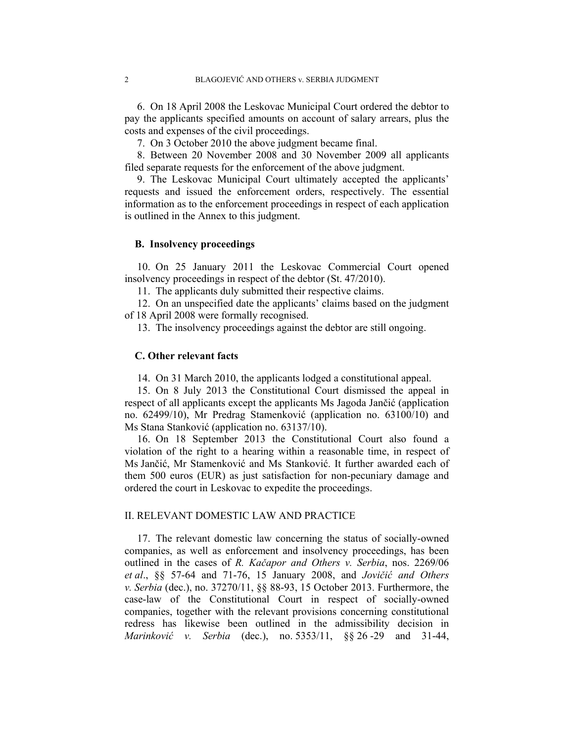6. On 18 April 2008 the Leskovac Municipal Court ordered the debtor to pay the applicants specified amounts on account of salary arrears, plus the costs and expenses of the civil proceedings.

7. On 3 October 2010 the above judgment became final.

8. Between 20 November 2008 and 30 November 2009 all applicants filed separate requests for the enforcement of the above judgment.

9. The Leskovac Municipal Court ultimately accepted the applicants' requests and issued the enforcement orders, respectively. The essential information as to the enforcement proceedings in respect of each application is outlined in the Annex to this judgment.

### **B. Insolvency proceedings**

10. On 25 January 2011 the Leskovac Commercial Court opened insolvency proceedings in respect of the debtor (St. 47/2010).

11. The applicants duly submitted their respective claims.

12. On an unspecified date the applicants' claims based on the judgment of 18 April 2008 were formally recognised.

13. The insolvency proceedings against the debtor are still ongoing.

### **C. Other relevant facts**

14. On 31 March 2010, the applicants lodged a constitutional appeal.

15. On 8 July 2013 the Constitutional Court dismissed the appeal in respect of all applicants except the applicants Ms Jagoda Jančić (application no. 62499/10), Mr Predrag Stamenković (application no. 63100/10) and Ms Stana Stanković (application no. 63137/10).

16. On 18 September 2013 the Constitutional Court also found a violation of the right to a hearing within a reasonable time, in respect of Ms Jančić, Mr Stamenković and Ms Stanković. It further awarded each of them 500 euros (EUR) as just satisfaction for non-pecuniary damage and ordered the court in Leskovac to expedite the proceedings.

### II. RELEVANT DOMESTIC LAW AND PRACTICE

17. The relevant domestic law concerning the status of socially-owned companies, as well as enforcement and insolvency proceedings, has been outlined in the cases of *R. Kačapor and Others v. Serbia*, nos. 2269/06 *et al*., §§ 57-64 and 71-76, 15 January 2008, and *Jovičić and Others v. Serbia* (dec.), no. 37270/11, §§ 88-93, 15 October 2013. Furthermore, the case-law of the Constitutional Court in respect of socially-owned companies, together with the relevant provisions concerning constitutional redress has likewise been outlined in the admissibility decision in *Marinković v. Serbia* (dec.), no. 5353/11, §§ 26 -29 and 31-44,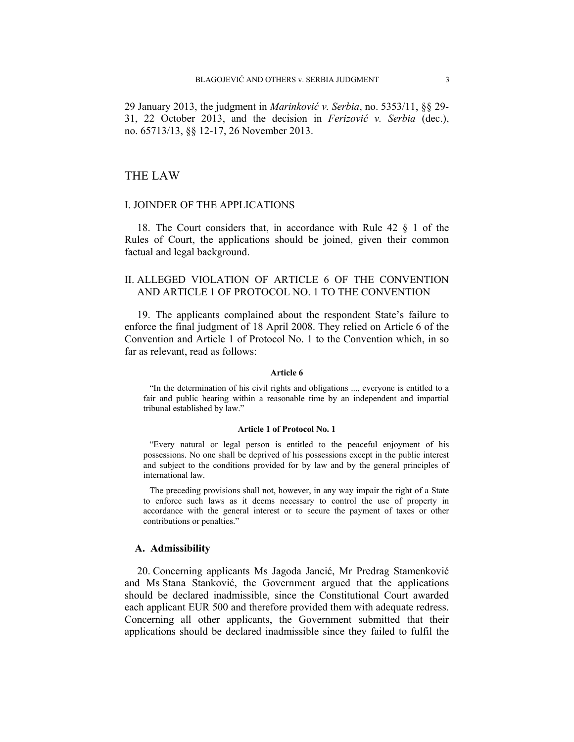29 January 2013, the judgment in *Marinković v. Serbia*, no. 5353/11, §§ 29- 31, 22 October 2013, and the decision in *Ferizović v. Serbia* (dec.), no. 65713/13, §§ 12-17, 26 November 2013.

### THE LAW

### I. JOINDER OF THE APPLICATIONS

18. The Court considers that, in accordance with Rule 42 § 1 of the Rules of Court, the applications should be joined, given their common factual and legal background.

### II. ALLEGED VIOLATION OF ARTICLE 6 OF THE CONVENTION AND ARTICLE 1 OF PROTOCOL NO. 1 TO THE CONVENTION

19. The applicants complained about the respondent State's failure to enforce the final judgment of 18 April 2008. They relied on Article 6 of the Convention and Article 1 of Protocol No. 1 to the Convention which, in so far as relevant, read as follows:

#### **Article 6**

"In the determination of his civil rights and obligations ..., everyone is entitled to a fair and public hearing within a reasonable time by an independent and impartial tribunal established by law."

#### **Article 1 of Protocol No. 1**

"Every natural or legal person is entitled to the peaceful enjoyment of his possessions. No one shall be deprived of his possessions except in the public interest and subject to the conditions provided for by law and by the general principles of international law.

The preceding provisions shall not, however, in any way impair the right of a State to enforce such laws as it deems necessary to control the use of property in accordance with the general interest or to secure the payment of taxes or other contributions or penalties."

#### **A. Admissibility**

20. Concerning applicants Ms Jagoda Jancić, Mr Predrag Stamenković and Ms Stana Stanković, the Government argued that the applications should be declared inadmissible, since the Constitutional Court awarded each applicant EUR 500 and therefore provided them with adequate redress. Concerning all other applicants, the Government submitted that their applications should be declared inadmissible since they failed to fulfil the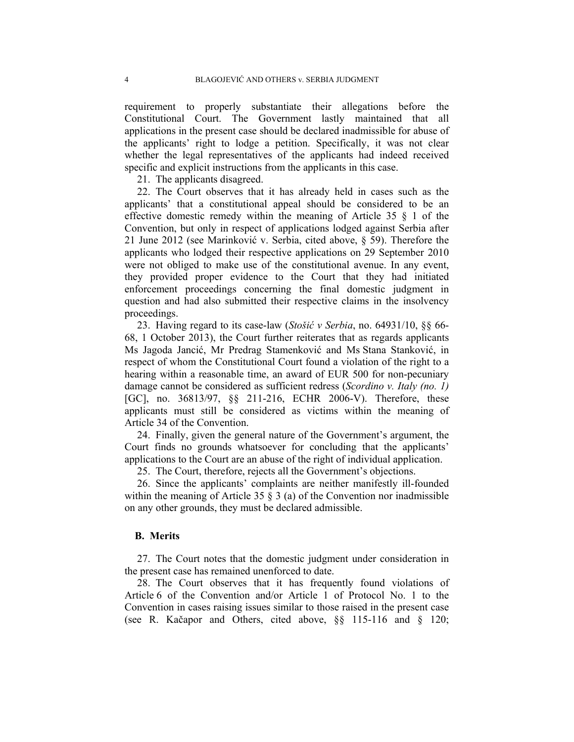requirement to properly substantiate their allegations before the Constitutional Court. The Government lastly maintained that all applications in the present case should be declared inadmissible for abuse of the applicants' right to lodge a petition. Specifically, it was not clear whether the legal representatives of the applicants had indeed received specific and explicit instructions from the applicants in this case.

21. The applicants disagreed.

22. The Court observes that it has already held in cases such as the applicants' that a constitutional appeal should be considered to be an effective domestic remedy within the meaning of Article 35 § 1 of the Convention, but only in respect of applications lodged against Serbia after 21 June 2012 (see Marinković v. Serbia, cited above, § 59). Therefore the applicants who lodged their respective applications on 29 September 2010 were not obliged to make use of the constitutional avenue. In any event, they provided proper evidence to the Court that they had initiated enforcement proceedings concerning the final domestic judgment in question and had also submitted their respective claims in the insolvency proceedings.

23. Having regard to its case-law (*Stošić v Serbia*, no. 64931/10, §§ 66- 68, 1 October 2013), the Court further reiterates that as regards applicants Ms Jagoda Jancić, Mr Predrag Stamenković and Ms Stana Stanković, in respect of whom the Constitutional Court found a violation of the right to a hearing within a reasonable time, an award of EUR 500 for non-pecuniary damage cannot be considered as sufficient redress (*Scordino v. Italy (no. 1)*  [GC], no. 36813/97, §§ 211-216, ECHR 2006-V). Therefore, these applicants must still be considered as victims within the meaning of Article 34 of the Convention.

24. Finally, given the general nature of the Government's argument, the Court finds no grounds whatsoever for concluding that the applicants' applications to the Court are an abuse of the right of individual application.

25. The Court, therefore, rejects all the Government's objections.

26. Since the applicants' complaints are neither manifestly ill-founded within the meaning of Article 35  $\S$  3 (a) of the Convention nor inadmissible on any other grounds, they must be declared admissible.

#### **B. Merits**

27. The Court notes that the domestic judgment under consideration in the present case has remained unenforced to date.

28. The Court observes that it has frequently found violations of Article 6 of the Convention and/or Article 1 of Protocol No. 1 to the Convention in cases raising issues similar to those raised in the present case (see R. Kačapor and Others, cited above, §§ 115-116 and § 120;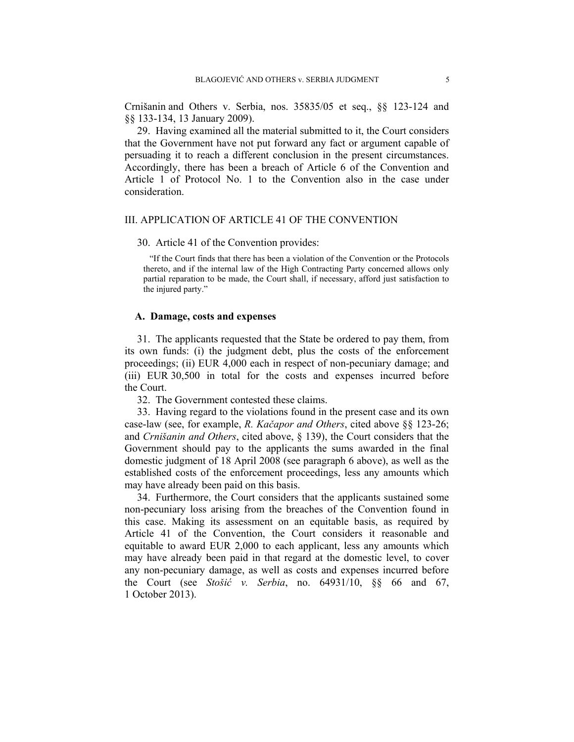Crnišanin and Others v. Serbia, nos. 35835/05 et seq., §§ 123-124 and §§ 133-134, 13 January 2009).

29. Having examined all the material submitted to it, the Court considers that the Government have not put forward any fact or argument capable of persuading it to reach a different conclusion in the present circumstances. Accordingly, there has been a breach of Article 6 of the Convention and Article 1 of Protocol No. 1 to the Convention also in the case under consideration.

#### III. APPLICATION OF ARTICLE 41 OF THE CONVENTION

#### 30. Article 41 of the Convention provides:

"If the Court finds that there has been a violation of the Convention or the Protocols thereto, and if the internal law of the High Contracting Party concerned allows only partial reparation to be made, the Court shall, if necessary, afford just satisfaction to the injured party."

### **A. Damage, costs and expenses**

31. The applicants requested that the State be ordered to pay them, from its own funds: (i) the judgment debt, plus the costs of the enforcement proceedings; (ii) EUR 4,000 each in respect of non-pecuniary damage; and (iii) EUR 30,500 in total for the costs and expenses incurred before the Court.

32. The Government contested these claims.

33. Having regard to the violations found in the present case and its own case-law (see, for example, *R. Kačapor and Others*, cited above §§ 123-26; and *Crnišanin and Others*, cited above, § 139), the Court considers that the Government should pay to the applicants the sums awarded in the final domestic judgment of 18 April 2008 (see paragraph 6 above), as well as the established costs of the enforcement proceedings, less any amounts which may have already been paid on this basis.

34. Furthermore, the Court considers that the applicants sustained some non-pecuniary loss arising from the breaches of the Convention found in this case. Making its assessment on an equitable basis, as required by Article 41 of the Convention, the Court considers it reasonable and equitable to award EUR 2,000 to each applicant, less any amounts which may have already been paid in that regard at the domestic level, to cover any non-pecuniary damage, as well as costs and expenses incurred before the Court (see *Stošić v. Serbia*, no. 64931/10, §§ 66 and 67, 1 October 2013).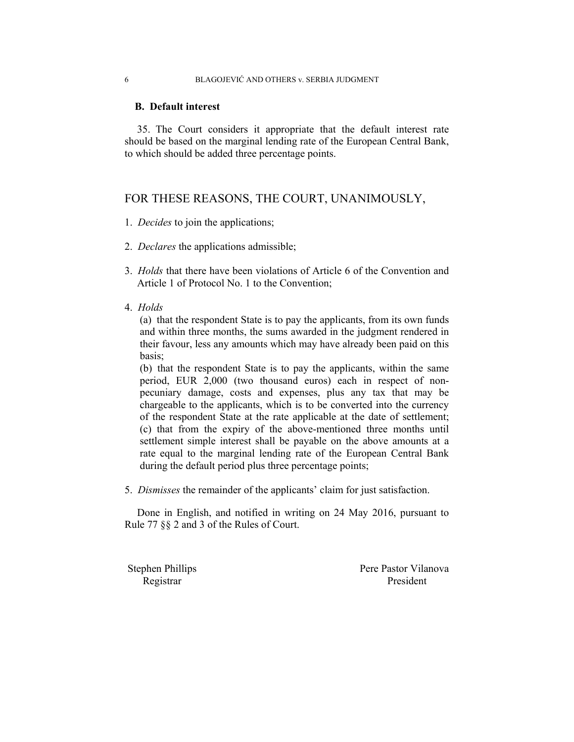### **B. Default interest**

35. The Court considers it appropriate that the default interest rate should be based on the marginal lending rate of the European Central Bank, to which should be added three percentage points.

## FOR THESE REASONS, THE COURT, UNANIMOUSLY,

- 1. *Decides* to join the applications;
- 2. *Declares* the applications admissible;
- 3. *Holds* that there have been violations of Article 6 of the Convention and Article 1 of Protocol No. 1 to the Convention;
- 4. *Holds*

(a) that the respondent State is to pay the applicants, from its own funds and within three months, the sums awarded in the judgment rendered in their favour, less any amounts which may have already been paid on this basis;

(b) that the respondent State is to pay the applicants, within the same period, EUR 2,000 (two thousand euros) each in respect of nonpecuniary damage, costs and expenses, plus any tax that may be chargeable to the applicants, which is to be converted into the currency of the respondent State at the rate applicable at the date of settlement; (c) that from the expiry of the above-mentioned three months until settlement simple interest shall be payable on the above amounts at a rate equal to the marginal lending rate of the European Central Bank during the default period plus three percentage points;

5. *Dismisses* the remainder of the applicants' claim for just satisfaction.

Done in English, and notified in writing on 24 May 2016, pursuant to Rule 77 §§ 2 and 3 of the Rules of Court.

Stephen Phillips Pere Pastor Vilanova Registrar President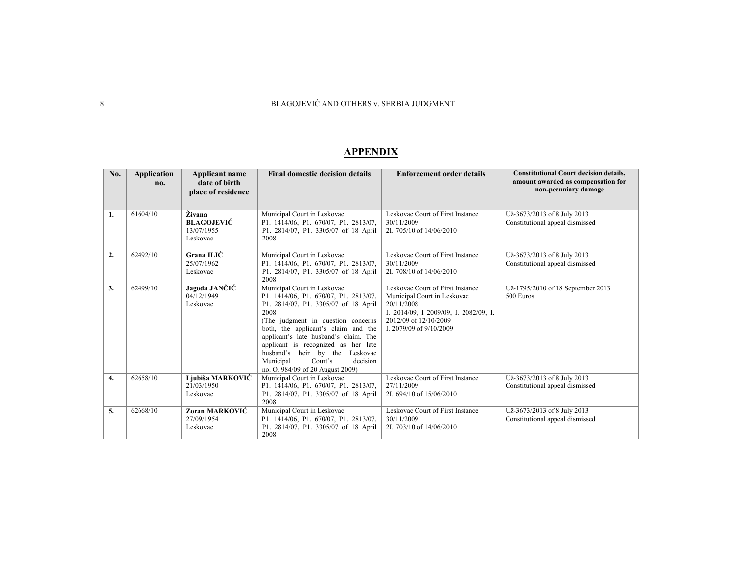| No. | Application | <b>Applicant name</b> | <b>Final domestic decision details</b>                                       | <b>Enforcement order details</b>      | <b>Constitutional Court decision details,</b> |
|-----|-------------|-----------------------|------------------------------------------------------------------------------|---------------------------------------|-----------------------------------------------|
|     | no.         | date of birth         |                                                                              |                                       | amount awarded as compensation for            |
|     |             | place of residence    |                                                                              |                                       | non-pecuniary damage                          |
|     |             |                       |                                                                              |                                       |                                               |
| 1.  | 61604/10    | Živana                | Municipal Court in Leskovac                                                  | Leskovac Court of First Instance      | Už-3673/2013 of 8 July 2013                   |
|     |             | <b>BLAGOJEVIĆ</b>     | P1. 1414/06, P1. 670/07, P1. 2813/07,                                        | 30/11/2009                            | Constitutional appeal dismissed               |
|     |             | 13/07/1955            | P1. 2814/07, P1. 3305/07 of 18 April                                         | 2I. 705/10 of 14/06/2010              |                                               |
|     |             | Leskovac              | 2008                                                                         |                                       |                                               |
| 2.  | 62492/10    | Grana ILIĆ            | Municipal Court in Leskovac                                                  | Leskovac Court of First Instance      | Už-3673/2013 of 8 July 2013                   |
|     |             | 25/07/1962            | P1. 1414/06, P1. 670/07, P1. 2813/07,                                        | 30/11/2009                            | Constitutional appeal dismissed               |
|     |             | Leskovac              | P1. 2814/07, P1. 3305/07 of 18 April                                         | 2I. 708/10 of 14/06/2010              |                                               |
|     |             |                       | 2008                                                                         |                                       |                                               |
| 3.  | 62499/10    | Jagoda JANČIĆ         | Municipal Court in Leskovac                                                  | Leskovac Court of First Instance      | Už-1795/2010 of 18 September 2013             |
|     |             | 04/12/1949            | P1. 1414/06, P1. 670/07, P1. 2813/07,                                        | Municipal Court in Leskovac           | 500 Euros                                     |
|     |             | Leskovac              | P1. 2814/07, P1. 3305/07 of 18 April                                         | 20/11/2008                            |                                               |
|     |             |                       | 2008                                                                         | I. 2014/09, I 2009/09, I. 2082/09, I. |                                               |
|     |             |                       | (The judgment in question concerns                                           | 2012/09 of 12/10/2009                 |                                               |
|     |             |                       | both, the applicant's claim and the<br>applicant's late husband's claim. The | I. 2079/09 of 9/10/2009               |                                               |
|     |             |                       | applicant is recognized as her late                                          |                                       |                                               |
|     |             |                       | husband's heir by the Leskovac                                               |                                       |                                               |
|     |             |                       | decision<br>Municipal<br>Court's                                             |                                       |                                               |
|     |             |                       | no. O. 984/09 of 20 August 2009)                                             |                                       |                                               |
| 4.  | 62658/10    | Ljubiša MARKOVIĆ      | Municipal Court in Leskovac                                                  | Leskovac Court of First Instance      | Už-3673/2013 of 8 July 2013                   |
|     |             | 21/03/1950            | P1. 1414/06, P1. 670/07, P1. 2813/07,                                        | 27/11/2009                            | Constitutional appeal dismissed               |
|     |             | Leskovac              | P1. 2814/07, P1. 3305/07 of 18 April                                         | 2I, 694/10 of 15/06/2010              |                                               |
|     |             |                       | 2008                                                                         |                                       |                                               |
| 5.  | 62668/10    | Zoran MARKOVIĆ        | Municipal Court in Leskovac                                                  | Leskovac Court of First Instance      | Už-3673/2013 of 8 July 2013                   |
|     |             | 27/09/1954            | P1. 1414/06, P1. 670/07, P1. 2813/07,                                        | 30/11/2009                            | Constitutional appeal dismissed               |
|     |             | Leskovac              | P1. 2814/07, P1. 3305/07 of 18 April                                         | 2I. 703/10 of 14/06/2010              |                                               |
|     |             |                       | 2008                                                                         |                                       |                                               |

#### **APPENDIX**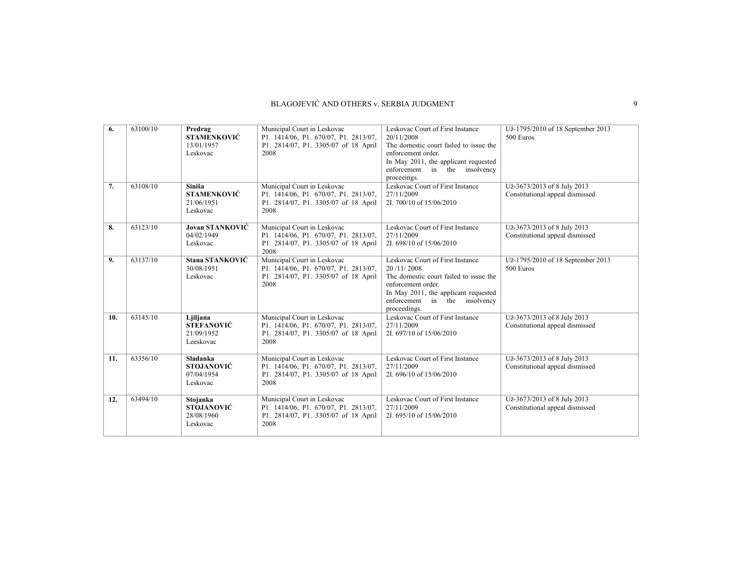| 6.  | 63100/10 | Predrag<br><b>STAMENKOVIĆ</b><br>13/01/1957<br>Leskovac        | Municipal Court in Leskovac<br>P1. 1414/06, P1. 670/07, P1. 2813/07,<br>P1. 2814/07, P1. 3305/07 of 18 April<br>2008 | Leskovac Court of First Instance<br>20/11/2008<br>The domestic court failed to issue the<br>enforcement order.<br>In May 2011, the applicant requested<br>enforcement in the insolvency<br>proceeings.  | Už-1795/2010 of 18 September 2013<br>500 Euros                 |
|-----|----------|----------------------------------------------------------------|----------------------------------------------------------------------------------------------------------------------|---------------------------------------------------------------------------------------------------------------------------------------------------------------------------------------------------------|----------------------------------------------------------------|
| 7.  | 63108/10 | Siniša<br><b>STAMENKOVIĆ</b><br>21/06/1951<br>Leskovac         | Municipal Court in Leskovac<br>P1. 1414/06, P1. 670/07, P1. 2813/07,<br>P1. 2814/07, P1. 3305/07 of 18 April<br>2008 | Leskovac Court of First Instance<br>27/11/2009<br>2I. 700/10 of 15/06/2010                                                                                                                              | Už-3673/2013 of 8 July 2013<br>Constitutional appeal dismissed |
| 8.  | 63123/10 | <b>Jovan STANKOVIĆ</b><br>04/02/1949<br>Leskovac               | Municipal Court in Leskovac<br>P1. 1414/06, P1. 670/07, P1. 2813/07,<br>P1. 2814/07, P1. 3305/07 of 18 April<br>2008 | Leskovac Court of First Instance<br>27/11/2009<br>2I. 698/10 of 15/06/2010                                                                                                                              | Už-3673/2013 of 8 July 2013<br>Constitutional appeal dismissed |
| 9.  | 63137/10 | Stana STANKOVIĆ<br>30/08/1951<br>Leskovac                      | Municipal Court in Leskovac<br>P1. 1414/06, P1. 670/07, P1. 2813/07,<br>P1. 2814/07, P1. 3305/07 of 18 April<br>2008 | Leskovac Court of First Instance<br>20/11/2008<br>The domestic court failed to issue the<br>enforcement order.<br>In May 2011, the applicant requested<br>enforcement in the insolvency<br>proceedings. | Už-1795/2010 of 18 September 2013<br>500 Euros                 |
| 10. | 63145/10 | Ljiljana<br><b>STEFANOVIĆ</b><br>21/09/1952<br>Leeskovac       | Municipal Court in Leskovac<br>P1. 1414/06, P1. 670/07, P1. 2813/07,<br>P1. 2814/07, P1. 3305/07 of 18 April<br>2008 | Leskovac Court of First Instance<br>27/11/2009<br>2I. 697/10 of 15/06/2010                                                                                                                              | Už-3673/2013 of 8 July 2013<br>Constitutional appeal dismissed |
| 11. | 63356/10 | <b>Sladanka</b><br><b>STOJANOVIĆ</b><br>07/04/1954<br>Leskovac | Municipal Court in Leskovac<br>P1. 1414/06, P1. 670/07, P1. 2813/07,<br>P1. 2814/07, P1. 3305/07 of 18 April<br>2008 | Leskovac Court of First Instance<br>27/11/2009<br>2I. 696/10 of 15/06/2010                                                                                                                              | Už-3673/2013 of 8 July 2013<br>Constitutional appeal dismissed |
| 12. | 63494/10 | Stojanka<br><b>STOJANOVIĆ</b><br>28/08/1960<br>Leskovac        | Municipal Court in Leskovac<br>P1. 1414/06, P1. 670/07, P1. 2813/07,<br>P1. 2814/07, P1. 3305/07 of 18 April<br>2008 | Leskovac Court of First Instance<br>27/11/2009<br>2I, 695/10 of 15/06/2010                                                                                                                              | Už-3673/2013 of 8 July 2013<br>Constitutional appeal dismissed |